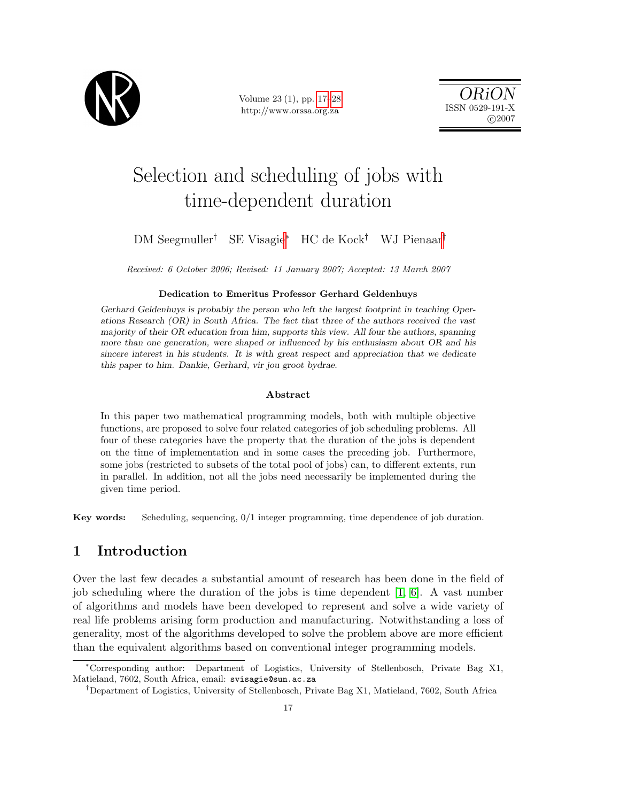

Volume 23 (1), pp. 17[–28](#page-10-0) http://www.orssa.org.za

ORiON ISSN 0529-191-X  $C<sub>2007</sub>$ 

# Selection and scheduling of jobs with time-dependent duration

# DM Seegmuller† SE Visagie<sup>∗</sup> HC de Kock† WJ Pienaar†

Received: 6 October 2006; Revised: 11 January 2007; Accepted: 13 March 2007

#### Dedication to Emeritus Professor Gerhard Geldenhuys

Gerhard Geldenhuys is probably the person who left the largest footprint in teaching Operations Research (OR) in South Africa. The fact that three of the authors received the vast majority of their OR education from him, supports this view. All four the authors, spanning more than one generation, were shaped or influenced by his enthusiasm about OR and his sincere interest in his students. It is with great respect and appreciation that we dedicate this paper to him. Dankie, Gerhard, vir jou groot bydrae.

#### Abstract

In this paper two mathematical programming models, both with multiple objective functions, are proposed to solve four related categories of job scheduling problems. All four of these categories have the property that the duration of the jobs is dependent on the time of implementation and in some cases the preceding job. Furthermore, some jobs (restricted to subsets of the total pool of jobs) can, to different extents, run in parallel. In addition, not all the jobs need necessarily be implemented during the given time period.

Key words: Scheduling, sequencing, 0/1 integer programming, time dependence of job duration.

# 1 Introduction

Over the last few decades a substantial amount of research has been done in the field of job scheduling where the duration of the jobs is time dependent  $[1, 6]$  $[1, 6]$ . A vast number of algorithms and models have been developed to represent and solve a wide variety of real life problems arising form production and manufacturing. Notwithstanding a loss of generality, most of the algorithms developed to solve the problem above are more efficient than the equivalent algorithms based on conventional integer programming models.

<sup>∗</sup>Corresponding author: Department of Logistics, University of Stellenbosch, Private Bag X1, Matieland, 7602, South Africa, email: svisagie@sun.ac.za

<sup>†</sup>Department of Logistics, University of Stellenbosch, Private Bag X1, Matieland, 7602, South Africa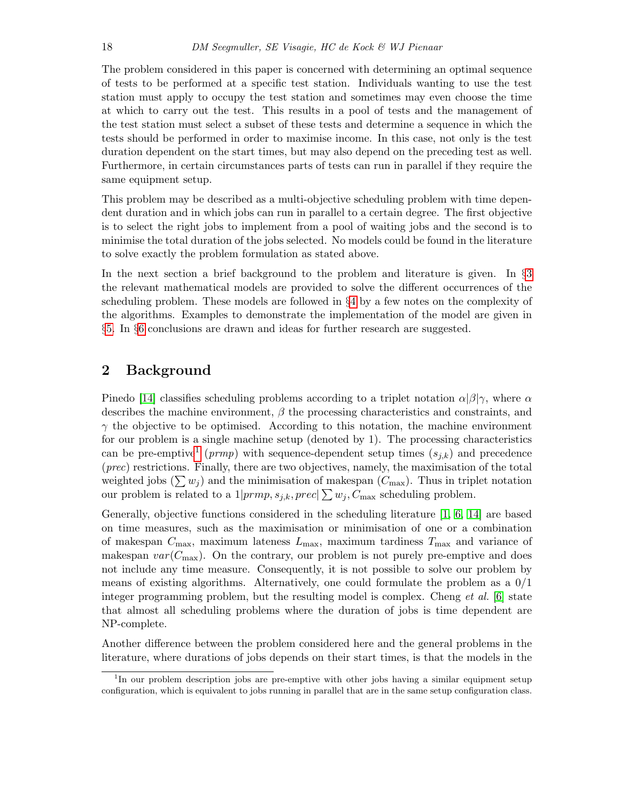The problem considered in this paper is concerned with determining an optimal sequence of tests to be performed at a specific test station. Individuals wanting to use the test station must apply to occupy the test station and sometimes may even choose the time at which to carry out the test. This results in a pool of tests and the management of the test station must select a subset of these tests and determine a sequence in which the tests should be performed in order to maximise income. In this case, not only is the test duration dependent on the start times, but may also depend on the preceding test as well. Furthermore, in certain circumstances parts of tests can run in parallel if they require the same equipment setup.

This problem may be described as a multi-objective scheduling problem with time dependent duration and in which jobs can run in parallel to a certain degree. The first objective is to select the right jobs to implement from a pool of waiting jobs and the second is to minimise the total duration of the jobs selected. No models could be found in the literature to solve exactly the problem formulation as stated above.

In the next section a brief background to the problem and literature is given. In §[3](#page-2-0) the relevant mathematical models are provided to solve the different occurrences of the scheduling problem. These models are followed in §[4](#page-6-0) by a few notes on the complexity of the algorithms. Examples to demonstrate the implementation of the model are given in §[5.](#page-7-0) In §[6](#page-10-3) conclusions are drawn and ideas for further research are suggested.

# 2 Background

Pinedo [\[14\]](#page-11-0) classifies scheduling problems according to a triplet notation  $\alpha|\beta|\gamma$ , where  $\alpha$ describes the machine environment,  $\beta$  the processing characteristics and constraints, and  $\gamma$  the objective to be optimised. According to this notation, the machine environment for our problem is a single machine setup (denoted by 1). The processing characteristics can be pre-emptive<sup>[1](#page-1-0)</sup> ( $prmp$ ) with sequence-dependent setup times  $(s_{j,k})$  and precedence (prec) restrictions. Finally, there are two objectives, namely, the maximisation of the total weighted jobs  $(\sum w_i)$  and the minimisation of makespan  $(C_{\text{max}})$ . Thus in triplet notation our problem is related to a  $1|prmp, s_{j,k}, prec| \sum w_j, C_{\text{max}}$  scheduling problem.

Generally, objective functions considered in the scheduling literature [\[1,](#page-10-1) [6,](#page-10-2) [14\]](#page-11-0) are based on time measures, such as the maximisation or minimisation of one or a combination of makespan  $C_{\text{max}}$ , maximum lateness  $L_{\text{max}}$ , maximum tardiness  $T_{\text{max}}$  and variance of makespan  $var(C_{\text{max}})$ . On the contrary, our problem is not purely pre-emptive and does not include any time measure. Consequently, it is not possible to solve our problem by means of existing algorithms. Alternatively, one could formulate the problem as a  $0/1$ integer programming problem, but the resulting model is complex. Cheng *et al.* [\[6\]](#page-10-2) state that almost all scheduling problems where the duration of jobs is time dependent are NP-complete.

Another difference between the problem considered here and the general problems in the literature, where durations of jobs depends on their start times, is that the models in the

<span id="page-1-0"></span><sup>&</sup>lt;sup>1</sup>In our problem description jobs are pre-emptive with other jobs having a similar equipment setup configuration, which is equivalent to jobs running in parallel that are in the same setup configuration class.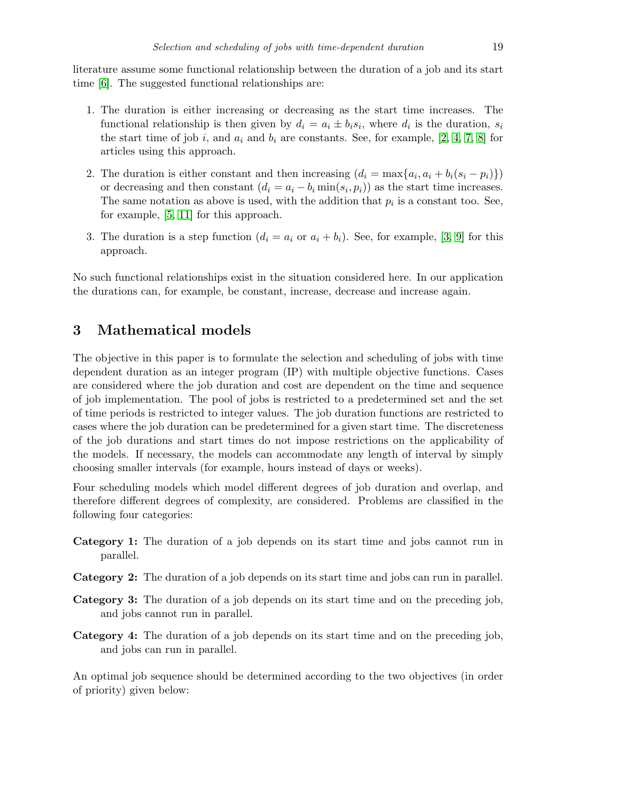literature assume some functional relationship between the duration of a job and its start time [\[6\]](#page-10-2). The suggested functional relationships are:

- 1. The duration is either increasing or decreasing as the start time increases. The functional relationship is then given by  $d_i = a_i \pm b_i s_i$ , where  $d_i$  is the duration,  $s_i$ the start time of job i, and  $a_i$  and  $b_i$  are constants. See, for example, [\[2,](#page-10-4) [4,](#page-10-5) [7,](#page-10-6) [8\]](#page-10-7) for articles using this approach.
- 2. The duration is either constant and then increasing  $(d_i = \max\{a_i, a_i + b_i(s_i p_i)\})$ or decreasing and then constant  $(d_i = a_i - b_i \min(s_i, p_i))$  as the start time increases. The same notation as above is used, with the addition that  $p_i$  is a constant too. See, for example, [\[5,](#page-10-8) [11\]](#page-11-1) for this approach.
- 3. The duration is a step function  $(d_i = a_i \text{ or } a_i + b_i)$ . See, for example, [\[3,](#page-10-9) [9\]](#page-11-2) for this approach.

No such functional relationships exist in the situation considered here. In our application the durations can, for example, be constant, increase, decrease and increase again.

# <span id="page-2-0"></span>3 Mathematical models

The objective in this paper is to formulate the selection and scheduling of jobs with time dependent duration as an integer program (IP) with multiple objective functions. Cases are considered where the job duration and cost are dependent on the time and sequence of job implementation. The pool of jobs is restricted to a predetermined set and the set of time periods is restricted to integer values. The job duration functions are restricted to cases where the job duration can be predetermined for a given start time. The discreteness of the job durations and start times do not impose restrictions on the applicability of the models. If necessary, the models can accommodate any length of interval by simply choosing smaller intervals (for example, hours instead of days or weeks).

Four scheduling models which model different degrees of job duration and overlap, and therefore different degrees of complexity, are considered. Problems are classified in the following four categories:

- Category 1: The duration of a job depends on its start time and jobs cannot run in parallel.
- Category 2: The duration of a job depends on its start time and jobs can run in parallel.
- Category 3: The duration of a job depends on its start time and on the preceding job, and jobs cannot run in parallel.
- Category 4: The duration of a job depends on its start time and on the preceding job, and jobs can run in parallel.

An optimal job sequence should be determined according to the two objectives (in order of priority) given below: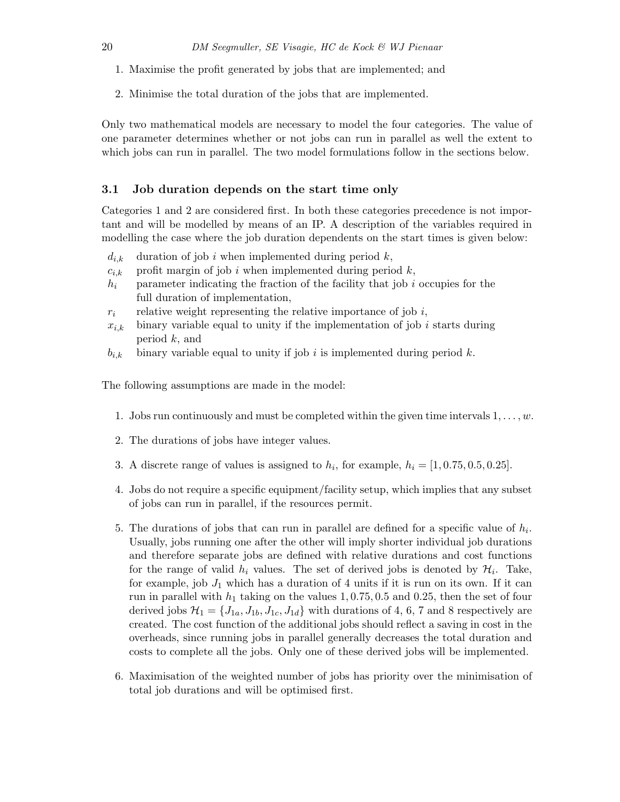- 1. Maximise the profit generated by jobs that are implemented; and
- 2. Minimise the total duration of the jobs that are implemented.

Only two mathematical models are necessary to model the four categories. The value of one parameter determines whether or not jobs can run in parallel as well the extent to which jobs can run in parallel. The two model formulations follow in the sections below.

#### <span id="page-3-0"></span>3.1 Job duration depends on the start time only

Categories 1 and 2 are considered first. In both these categories precedence is not important and will be modelled by means of an IP. A description of the variables required in modelling the case where the job duration dependents on the start times is given below:

- $d_{i,k}$  duration of job i when implemented during period k,
- $c_{i,k}$  profit margin of job i when implemented during period k,
- $h_i$  parameter indicating the fraction of the facility that job i occupies for the full duration of implementation,
- $r_i$  relative weight representing the relative importance of job i,
- $x_{i,k}$  binary variable equal to unity if the implementation of job i starts during period k, and
- $b_{i,k}$  binary variable equal to unity if job i is implemented during period k.

The following assumptions are made in the model:

- 1. Jobs run continuously and must be completed within the given time intervals  $1, \ldots, w$ .
- 2. The durations of jobs have integer values.
- 3. A discrete range of values is assigned to  $h_i$ , for example,  $h_i = [1, 0.75, 0.5, 0.25]$ .
- 4. Jobs do not require a specific equipment/facility setup, which implies that any subset of jobs can run in parallel, if the resources permit.
- 5. The durations of jobs that can run in parallel are defined for a specific value of  $h_i$ . Usually, jobs running one after the other will imply shorter individual job durations and therefore separate jobs are defined with relative durations and cost functions for the range of valid  $h_i$  values. The set of derived jobs is denoted by  $\mathcal{H}_i$ . Take, for example, job  $J_1$  which has a duration of 4 units if it is run on its own. If it can run in parallel with  $h_1$  taking on the values 1, 0.75, 0.5 and 0.25, then the set of four derived jobs  $\mathcal{H}_1 = \{J_{1a}, J_{1b}, J_{1c}, J_{1d}\}\$  with durations of 4, 6, 7 and 8 respectively are created. The cost function of the additional jobs should reflect a saving in cost in the overheads, since running jobs in parallel generally decreases the total duration and costs to complete all the jobs. Only one of these derived jobs will be implemented.
- 6. Maximisation of the weighted number of jobs has priority over the minimisation of total job durations and will be optimised first.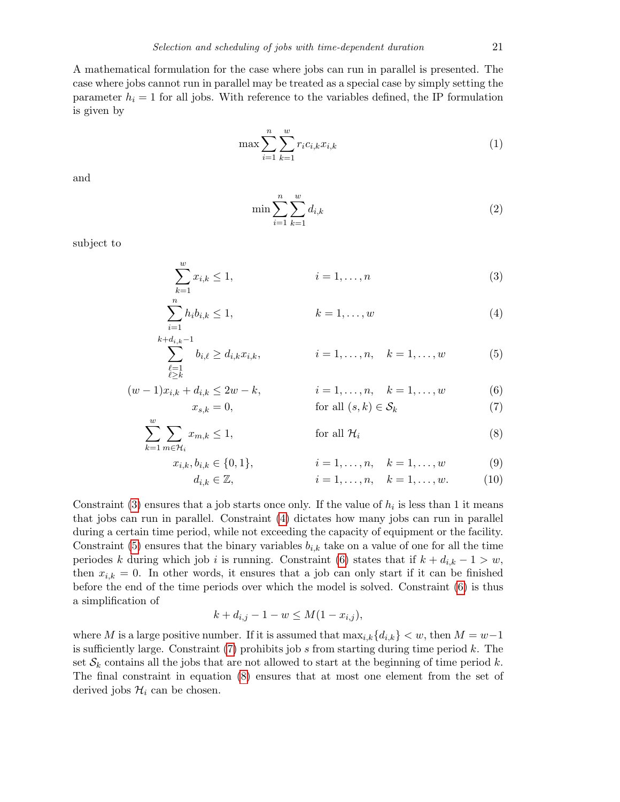A mathematical formulation for the case where jobs can run in parallel is presented. The case where jobs cannot run in parallel may be treated as a special case by simply setting the parameter  $h_i = 1$  for all jobs. With reference to the variables defined, the IP formulation is given by

$$
\max \sum_{i=1}^{n} \sum_{k=1}^{w} r_i c_{i,k} x_{i,k}
$$
 (1)

and

<span id="page-4-0"></span>
$$
\min \sum_{i=1}^{n} \sum_{k=1}^{w} d_{i,k} \tag{2}
$$

subject to

$$
\sum_{k=1}^{w} x_{i,k} \le 1, \qquad i = 1, \dots, n \tag{3}
$$

$$
\sum_{i=1}^{n} h_i b_{i,k} \le 1, \qquad k = 1, \dots, w \tag{4}
$$

$$
\sum_{\substack{\ell=1\\ \ell \ge k}}^{k+d_{i,k}-1} b_{i,\ell} \ge d_{i,k} x_{i,k}, \qquad i = 1, \dots, n, \quad k = 1, \dots, w \qquad (5)
$$

$$
(w-1)x_{i,k} + d_{i,k} \le 2w - k, \qquad i = 1, ..., n, \quad k = 1, ..., w
$$
\n(6)  
\n
$$
x_{s,k} = 0, \qquad \text{for all } (s,k) \in S_k
$$
\n(7)

<span id="page-4-5"></span><span id="page-4-4"></span><span id="page-4-3"></span><span id="page-4-2"></span><span id="page-4-1"></span>
$$
for all (s, k) \in S_k \tag{7}
$$

$$
\sum_{k=1}^{w} \sum_{m \in \mathcal{H}_i} x_{m,k} \le 1, \qquad \text{for all } \mathcal{H}_i \tag{8}
$$

$$
x_{i,k}, b_{i,k} \in \{0, 1\}, \qquad i = 1, \dots, n, \quad k = 1, \dots, w \tag{9}
$$

$$
d_{i,k} \in \mathbb{Z}, \t i = 1, ..., n, \t k = 1, ..., w.
$$
 (10)

Constraint [\(3\)](#page-4-0) ensures that a job starts once only. If the value of  $h_i$  is less than 1 it means that jobs can run in parallel. Constraint [\(4\)](#page-4-1) dictates how many jobs can run in parallel during a certain time period, while not exceeding the capacity of equipment or the facility. Constraint [\(5\)](#page-4-2) ensures that the binary variables  $b_{i,k}$  take on a value of one for all the time periodes k during which job i is running. Constraint [\(6\)](#page-4-3) states that if  $k + d_{i,k} - 1 > w$ , then  $x_{i,k} = 0$ . In other words, it ensures that a job can only start if it can be finished before the end of the time periods over which the model is solved. Constraint [\(6\)](#page-4-3) is thus a simplification of

$$
k + d_{i,j} - 1 - w \le M(1 - x_{i,j}),
$$

where M is a large positive number. If it is assumed that  $\max_{i,k} \{d_{i,k}\} < w$ , then  $M = w-1$ is sufficiently large. Constraint  $(7)$  prohibits job s from starting during time period k. The set  $S_k$  contains all the jobs that are not allowed to start at the beginning of time period k. The final constraint in equation [\(8\)](#page-4-5) ensures that at most one element from the set of derived jobs  $\mathcal{H}_i$  can be chosen.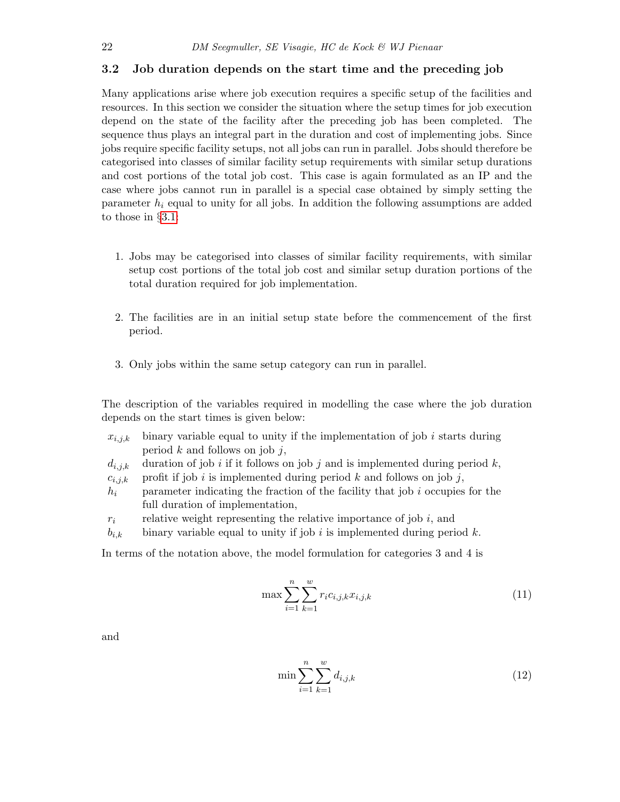#### <span id="page-5-2"></span>3.2 Job duration depends on the start time and the preceding job

Many applications arise where job execution requires a specific setup of the facilities and resources. In this section we consider the situation where the setup times for job execution depend on the state of the facility after the preceding job has been completed. The sequence thus plays an integral part in the duration and cost of implementing jobs. Since jobs require specific facility setups, not all jobs can run in parallel. Jobs should therefore be categorised into classes of similar facility setup requirements with similar setup durations and cost portions of the total job cost. This case is again formulated as an IP and the case where jobs cannot run in parallel is a special case obtained by simply setting the parameter  $h_i$  equal to unity for all jobs. In addition the following assumptions are added to those in §[3.1:](#page-3-0)

- 1. Jobs may be categorised into classes of similar facility requirements, with similar setup cost portions of the total job cost and similar setup duration portions of the total duration required for job implementation.
- 2. The facilities are in an initial setup state before the commencement of the first period.
- 3. Only jobs within the same setup category can run in parallel.

The description of the variables required in modelling the case where the job duration depends on the start times is given below:

- $x_{i,j,k}$  binary variable equal to unity if the implementation of job i starts during period  $k$  and follows on job  $j$ ,
- $d_{i,j,k}$  duration of job i if it follows on job j and is implemented during period k,
- $c_{i,j,k}$  profit if job i is implemented during period k and follows on job j,
- $h_i$  parameter indicating the fraction of the facility that job i occupies for the full duration of implementation,
- $r_i$  relative weight representing the relative importance of job i, and
- $b_{i,k}$  binary variable equal to unity if job i is implemented during period k.

In terms of the notation above, the model formulation for categories 3 and 4 is

$$
\max \sum_{i=1}^{n} \sum_{k=1}^{w} r_i c_{i,j,k} x_{i,j,k}
$$
\n(11)

and

<span id="page-5-1"></span><span id="page-5-0"></span>
$$
\min \sum_{i=1}^{n} \sum_{k=1}^{w} d_{i,j,k} \tag{12}
$$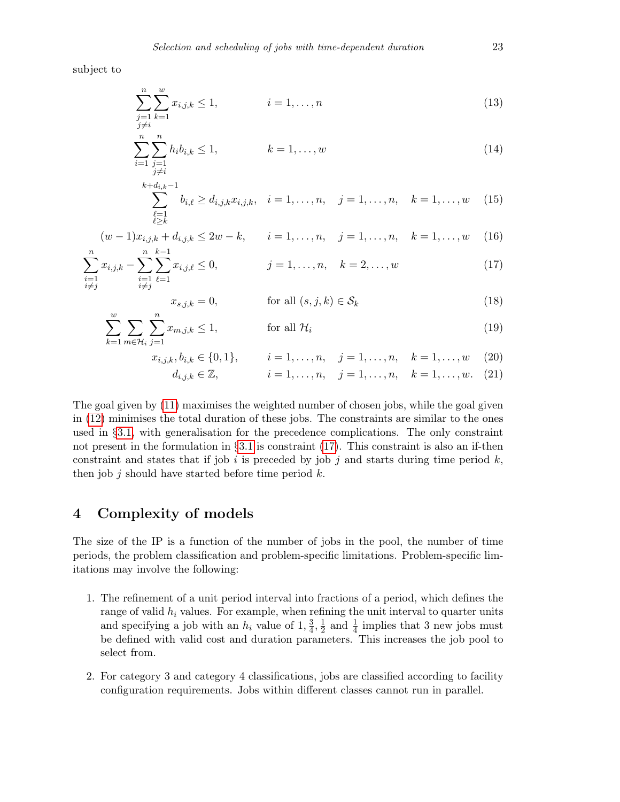subject to

$$
\sum_{j=1}^{n} \sum_{k=1}^{w} x_{i,j,k} \le 1, \qquad i = 1, \dots, n
$$
\n(13)

$$
\sum_{i=1}^{n} \sum_{\substack{j=1 \ j \neq i}}^{n} h_i b_{i,k} \le 1, \qquad k = 1, \dots, w
$$
\n(14)

$$
\sum_{\substack{\ell=1\\ \ell \ge k}}^{k+d_{i,k}-1} b_{i,\ell} \ge d_{i,j,k} x_{i,j,k}, \quad i = 1, \dots, n, \quad j = 1, \dots, n, \quad k = 1, \dots, w \quad (15)
$$

$$
(w-1)x_{i,j,k} + d_{i,j,k} \le 2w - k, \qquad i = 1, \dots, n, \quad j = 1, \dots, n, \quad k = 1, \dots, w \tag{16}
$$

$$
\sum_{\substack{i=1 \ i \neq j}}^{n} x_{i,j,k} - \sum_{\substack{i=1 \ i \neq j}}^{n} \sum_{\ell=1}^{k-1} x_{i,j,\ell} \le 0, \qquad j = 1, \dots, n, \quad k = 2, \dots, w \tag{17}
$$

<span id="page-6-3"></span><span id="page-6-2"></span><span id="page-6-1"></span>
$$
x_{s,j,k} = 0, \qquad \text{for all } (s,j,k) \in \mathcal{S}_k \tag{18}
$$

$$
\sum_{k=1}^{w} \sum_{m \in \mathcal{H}_i} \sum_{j=1}^{n} x_{m,j,k} \le 1, \qquad \text{for all } \mathcal{H}_i
$$
\n(19)

$$
x_{i,j,k}, b_{i,k} \in \{0,1\}, \qquad i = 1, \dots, n, \quad j = 1, \dots, n, \quad k = 1, \dots, w \tag{20}
$$

$$
d_{i,j,k} \in \mathbb{Z}, \qquad i = 1, \dots, n, \quad j = 1, \dots, n, \quad k = 1, \dots, w. \tag{21}
$$

The goal given by [\(11\)](#page-5-0) maximises the weighted number of chosen jobs, while the goal given in [\(12\)](#page-5-1) minimises the total duration of these jobs. The constraints are similar to the ones used in §[3.1,](#page-3-0) with generalisation for the precedence complications. The only constraint not present in the formulation in  $\S 3.1$  $\S 3.1$  is constraint [\(17\)](#page-6-1). This constraint is also an if-then constraint and states that if job i is preceded by job j and starts during time period  $k$ , then job  $j$  should have started before time period  $k$ .

## <span id="page-6-0"></span>4 Complexity of models

The size of the IP is a function of the number of jobs in the pool, the number of time periods, the problem classification and problem-specific limitations. Problem-specific limitations may involve the following:

- 1. The refinement of a unit period interval into fractions of a period, which defines the range of valid  $h_i$  values. For example, when refining the unit interval to quarter units and specifying a job with an  $h_i$  value of  $1, \frac{3}{4}$  $\frac{3}{4}, \frac{1}{2}$  $\frac{1}{2}$  and  $\frac{1}{4}$  implies that 3 new jobs must be defined with valid cost and duration parameters. This increases the job pool to select from.
- 2. For category 3 and category 4 classifications, jobs are classified according to facility configuration requirements. Jobs within different classes cannot run in parallel.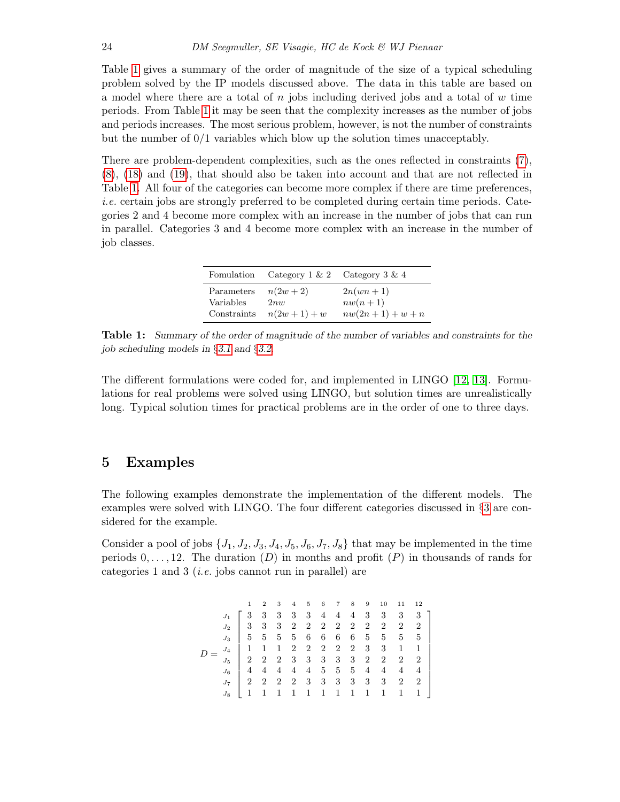Table [1](#page-7-1) gives a summary of the order of magnitude of the size of a typical scheduling problem solved by the IP models discussed above. The data in this table are based on a model where there are a total of n jobs including derived jobs and a total of  $w$  time periods. From Table [1](#page-7-1) it may be seen that the complexity increases as the number of jobs and periods increases. The most serious problem, however, is not the number of constraints but the number of 0/1 variables which blow up the solution times unacceptably.

There are problem-dependent complexities, such as the ones reflected in constraints [\(7\)](#page-4-4), [\(8\)](#page-4-5), [\(18\)](#page-6-2) and [\(19\)](#page-6-3), that should also be taken into account and that are not reflected in Table [1.](#page-7-1) All four of the categories can become more complex if there are time preferences, i.e. certain jobs are strongly preferred to be completed during certain time periods. Categories 2 and 4 become more complex with an increase in the number of jobs that can run in parallel. Categories 3 and 4 become more complex with an increase in the number of job classes.

| Fomulation  | Category $1 \& 2$ | Category $3 \& 4$    |
|-------------|-------------------|----------------------|
| Parameters  | $n(2w+2)$         | $2n(\omega n+1)$     |
| Variables   | 2nw               | $nw(n+1)$            |
| Constraints | $n(2w+1)+w$       | $nw(2n + 1) + w + n$ |

<span id="page-7-1"></span>Table 1: Summary of the order of magnitude of the number of variables and constraints for the job scheduling models in §[3.1](#page-3-0) and §[3.2.](#page-5-2)

The different formulations were coded for, and implemented in LINGO [\[12,](#page-11-3) [13\]](#page-11-4). Formulations for real problems were solved using LINGO, but solution times are unrealistically long. Typical solution times for practical problems are in the order of one to three days.

## <span id="page-7-0"></span>5 Examples

The following examples demonstrate the implementation of the different models. The examples were solved with LINGO. The four different categories discussed in §[3](#page-2-0) are considered for the example.

Consider a pool of jobs  $\{J_1, J_2, J_3, J_4, J_5, J_6, J_7, J_8\}$  that may be implemented in the time periods  $0, \ldots, 12$ . The duration (D) in months and profit (P) in thousands of rands for categories 1 and 3 (i.e. jobs cannot run in parallel) are

|  |  |  |  |  |  | $2\quad 3\quad 4\quad 5\quad 6\quad 7\quad 8\quad 9\quad 10\quad 11\quad 12$ |                                                                                                                                                                                                                                                                                                                                |
|--|--|--|--|--|--|------------------------------------------------------------------------------|--------------------------------------------------------------------------------------------------------------------------------------------------------------------------------------------------------------------------------------------------------------------------------------------------------------------------------|
|  |  |  |  |  |  |                                                                              | $\begin{array}{c cccccccccccc} J_1 & 3 & 3 & 3 & 3 & 4 & 4 & 4 & 3 & 3 & 3 & 3 \\ J_2 & 3 & 3 & 3 & 2 & 2 & 2 & 2 & 2 & 2 & 2 & 2 & 2 \\ J_3 & 5 & 5 & 5 & 5 & 6 & 6 & 6 & 6 & 5 & 5 & 5 & 5 \\ J_4 & 1 & 1 & 1 & 2 & 2 & 2 & 2 & 2 & 3 & 3 & 1 & 1 \\ J_5 & 2 & 2 & 2 & 3 & 3 & 3 & 3 & 3 & 2 & 2 & 2 & 2 \\ J_6 & 4 & 4 & 4$ |
|  |  |  |  |  |  |                                                                              |                                                                                                                                                                                                                                                                                                                                |
|  |  |  |  |  |  |                                                                              |                                                                                                                                                                                                                                                                                                                                |
|  |  |  |  |  |  |                                                                              |                                                                                                                                                                                                                                                                                                                                |
|  |  |  |  |  |  |                                                                              |                                                                                                                                                                                                                                                                                                                                |
|  |  |  |  |  |  |                                                                              |                                                                                                                                                                                                                                                                                                                                |
|  |  |  |  |  |  |                                                                              |                                                                                                                                                                                                                                                                                                                                |
|  |  |  |  |  |  |                                                                              |                                                                                                                                                                                                                                                                                                                                |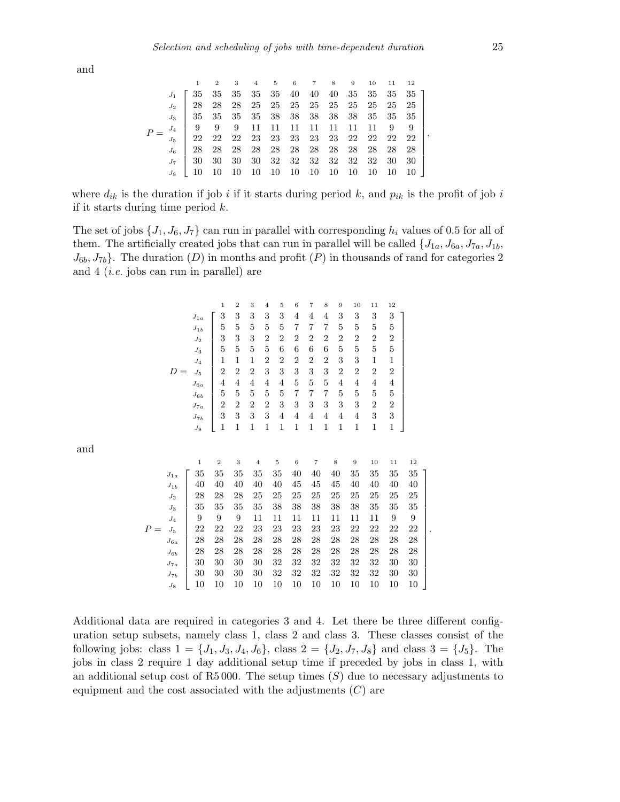and

 $\boldsymbol{P}$ 

|  |  | $1\qquad 2\qquad 3\qquad 4\qquad 5\qquad 6\qquad 7\qquad 8\qquad 9\qquad 10\quad 11\quad 12$ |  |  |  |  |                                                                                                                                                                             |
|--|--|----------------------------------------------------------------------------------------------|--|--|--|--|-----------------------------------------------------------------------------------------------------------------------------------------------------------------------------|
|  |  |                                                                                              |  |  |  |  |                                                                                                                                                                             |
|  |  |                                                                                              |  |  |  |  |                                                                                                                                                                             |
|  |  |                                                                                              |  |  |  |  | $\begin{array}{c ccccccccc} J_3 & 35 & 35 & 35 & 35 & 38 & 38 & 38 & 38 & 35 & 35 & 35 \\ \hline J_4 & 9 & 9 & 9 & 11 & 11 & 11 & 11 & 11 & 11 & 11 & 9 & 9 \\ \end{array}$ |
|  |  |                                                                                              |  |  |  |  |                                                                                                                                                                             |
|  |  |                                                                                              |  |  |  |  | $J_5$   22 22 22 23 23 23 23 23 22 22 22 22                                                                                                                                 |
|  |  |                                                                                              |  |  |  |  | $J_6$   28 28 28 28 28 28 28 28 28 28 28                                                                                                                                    |
|  |  |                                                                                              |  |  |  |  |                                                                                                                                                                             |
|  |  |                                                                                              |  |  |  |  |                                                                                                                                                                             |

where  $d_{ik}$  is the duration if job i if it starts during period k, and  $p_{ik}$  is the profit of job i if it starts during time period  $k$ .

The set of jobs  $\{J_1, J_6, J_7\}$  can run in parallel with corresponding  $h_i$  values of 0.5 for all of them. The artificially created jobs that can run in parallel will be called  $\{J_{1a}, J_{6a}, J_{7a}, J_{1b},$  $J_{6b}$ ,  $J_{7b}$ . The duration (D) in months and profit (P) in thousands of rand for categories 2 and 4 (i.e. jobs can run in parallel) are

D = 1 2 3 4 5 6 7 8 9 10 11 12 <sup>J</sup>1<sup>a</sup> 3 3 3 3 3 4 4 4 3 3 3 3 <sup>J</sup>1<sup>b</sup> 5 5 5 5 5 7 7 7 5 5 5 5 <sup>J</sup><sup>2</sup> 3 3 3 2 2 2 2 2 2 2 2 2 <sup>J</sup><sup>3</sup> 5 5 5 5 6 6 6 6 5 5 5 5 <sup>J</sup><sup>4</sup> 1 1 1 2 2 2 2 2 3 3 1 1 <sup>J</sup><sup>5</sup> 2 2 2 3 3 3 3 3 2 2 2 2 <sup>J</sup>6<sup>a</sup> 4 4 4 4 4 5 5 5 4 4 4 4 <sup>J</sup>6<sup>b</sup> 5 5 5 5 5 7 7 7 5 5 5 5 <sup>J</sup>7<sup>a</sup> 2 2 2 2 3 3 3 3 3 3 2 2 <sup>J</sup>7<sup>b</sup> 3 3 3 3 4 4 4 4 4 4 3 3 <sup>J</sup><sup>8</sup> 1 1 1 1 1 1 1 1 1 1 1 1 1 2 3 4 5 6 7 8 9 10 11 12 <sup>J</sup>1<sup>a</sup> 35 35 35 35 35 40 40 40 35 35 35 35 <sup>J</sup>1<sup>b</sup> 40 40 40 40 40 45 45 45 40 40 40 40 <sup>J</sup><sup>2</sup> 28 28 28 25 25 25 25 25 25 25 25 25 <sup>J</sup><sup>3</sup> 35 35 35 35 38 38 38 38 38 35 35 35 <sup>J</sup><sup>4</sup> 9 9 9 11 11 11 11 11 11 11 9 9 <sup>J</sup><sup>5</sup> 22 22 22 23 23 23 23 23 22 22 22 22 <sup>J</sup>6<sup>a</sup> 28 28 28 28 28 28 28 28 28 28 28 28 <sup>J</sup>6<sup>b</sup> 28 28 28 28 28 28 28 28 28 28 28 28 <sup>J</sup>7<sup>a</sup> 30 30 30 30 32 32 32 32 32 32 30 30 <sup>J</sup>7<sup>b</sup> 30 30 30 30 32 32 32 32 32 32 30 30 <sup>J</sup><sup>8</sup> 10 10 10 10 10 10 10 10 10 10 10 10 

Additional data are required in categories 3 and 4. Let there be three different configuration setup subsets, namely class 1, class 2 and class 3. These classes consist of the following jobs: class  $1 = \{J_1, J_3, J_4, J_6\}$ , class  $2 = \{J_2, J_7, J_8\}$  and class  $3 = \{J_5\}$ . The jobs in class 2 require 1 day additional setup time if preceded by jobs in class 1, with an additional setup cost of R5 000. The setup times  $(S)$  due to necessary adjustments to equipment and the cost associated with the adjustments  $(C)$  are

,

.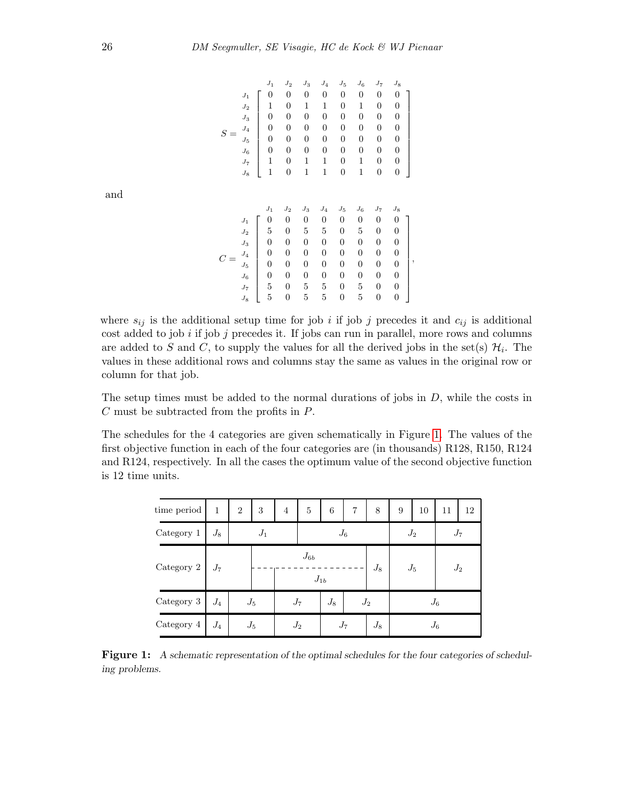|                                                                                                    | $J_1$                                                                                  | $J_2$                                         | $J_3$                                         | $J_4$                                                                   | $J_5$                                                        | $J_6$                                         | $J_7$                                                        | $J_8$                                         |
|----------------------------------------------------------------------------------------------------|----------------------------------------------------------------------------------------|-----------------------------------------------|-----------------------------------------------|-------------------------------------------------------------------------|--------------------------------------------------------------|-----------------------------------------------|--------------------------------------------------------------|-----------------------------------------------|
| $\boldsymbol{J}_1$                                                                                 | $\overline{0}$                                                                         | 0                                             | 0                                             | 0                                                                       | 0                                                            | 0                                             | 0                                                            | 0                                             |
| ${\cal J}_2$                                                                                       | 1                                                                                      | 0                                             | 1                                             | 1                                                                       | 0                                                            | 1                                             | 0                                                            | 0                                             |
| $J_3$                                                                                              | 0                                                                                      | 0                                             | 0                                             | 0                                                                       | 0                                                            | 0                                             | 0                                                            | 0                                             |
| ${\cal J}_4$<br>S                                                                                  | 0                                                                                      | 0                                             | 0                                             | 0                                                                       | $\overline{0}$                                               | 0                                             | 0                                                            | $\overline{0}$                                |
| $J_5$                                                                                              | 0                                                                                      | 0                                             | 0                                             | 0                                                                       | 0                                                            | 0                                             | 0                                                            | $\boldsymbol{0}$                              |
| $J_6$                                                                                              | 0                                                                                      | 0                                             | 0                                             | 0                                                                       | 0                                                            | 0                                             | 0                                                            | 0                                             |
| ${\cal J}_7$                                                                                       | 1                                                                                      | 0                                             | 1                                             | 1                                                                       | 0                                                            | 1                                             | 0                                                            | $\boldsymbol{0}$                              |
| ${\cal J}_8$                                                                                       | 1                                                                                      | 0                                             | 1                                             | 1                                                                       | 0                                                            | 1                                             | 0                                                            | $\overline{0}$                                |
|                                                                                                    |                                                                                        |                                               |                                               |                                                                         |                                                              |                                               |                                                              |                                               |
| $J_1$<br>${\cal J}_2$<br>${\cal J}_3$<br>${\cal J}_4$<br>$C =$<br>$J_5$<br>$J_6$<br>$J_7$<br>$J_8$ | $J_1$<br>0<br>5<br>0<br>$\boldsymbol{0}$<br>0<br>$\overline{0}$<br>5<br>$\overline{5}$ | $J_2$<br>0<br>0<br>0<br>0<br>0<br>0<br>0<br>0 | $J_3$<br>0<br>5<br>0<br>0<br>0<br>0<br>5<br>5 | $J_4$<br>$\overline{0}$<br>5<br>0<br>0<br>0<br>0<br>5<br>$\overline{5}$ | $J_5$<br>0<br>0<br>0<br>0<br>0<br>0<br>0<br>$\boldsymbol{0}$ | $J_6$<br>0<br>5<br>0<br>0<br>0<br>0<br>5<br>5 | $J_7$<br>0<br>0<br>0<br>0<br>0<br>0<br>0<br>$\boldsymbol{0}$ | $J_8$<br>0<br>0<br>0<br>0<br>0<br>0<br>0<br>0 |

where  $s_{ij}$  is the additional setup time for job i if job j precedes it and  $c_{ij}$  is additional cost added to job  $i$  if job  $j$  precedes it. If jobs can run in parallel, more rows and columns are added to S and C, to supply the values for all the derived jobs in the set(s)  $\mathcal{H}_i$ . The values in these additional rows and columns stay the same as values in the original row or column for that job.

,

The setup times must be added to the normal durations of jobs in  $D$ , while the costs in C must be subtracted from the profits in P.

The schedules for the 4 categories are given schematically in Figure [1.](#page-9-0) The values of the first objective function in each of the four categories are (in thousands) R128, R150, R124 and R124, respectively. In all the cases the optimum value of the second objective function is 12 time units.

| time period    | 1       | $\overline{2}$ | 3                             | $\overline{4}$ | 5              | 6            | $\overline{7}$ | 8     | 9                     | 10 | 11          | 12 |
|----------------|---------|----------------|-------------------------------|----------------|----------------|--------------|----------------|-------|-----------------------|----|-------------|----|
| Category 1     | $J_{8}$ | $J_1$          |                               |                | $J_{6}$        |              |                |       | $J_2$                 |    | $J_7$       |    |
| Category $2\,$ | $J_7$   |                | $J_{6b}$<br>$J_8$<br>$J_{1b}$ |                |                |              |                |       | ${\cal J}_5$<br>$J_2$ |    |             |    |
| Category 3     | $J_4$   | $J_5$          |                               | $J_7$          |                | ${\cal J}_8$ | $J_2$          |       |                       |    | $J_6$       |    |
| Category 4     | $J_4$   | $J_5$          |                               |                | $J_2$<br>$J_7$ |              |                | $J_8$ |                       |    | $J_{\rm 6}$ |    |

<span id="page-9-0"></span>Figure 1: A schematic representation of the optimal schedules for the four categories of scheduling problems.

and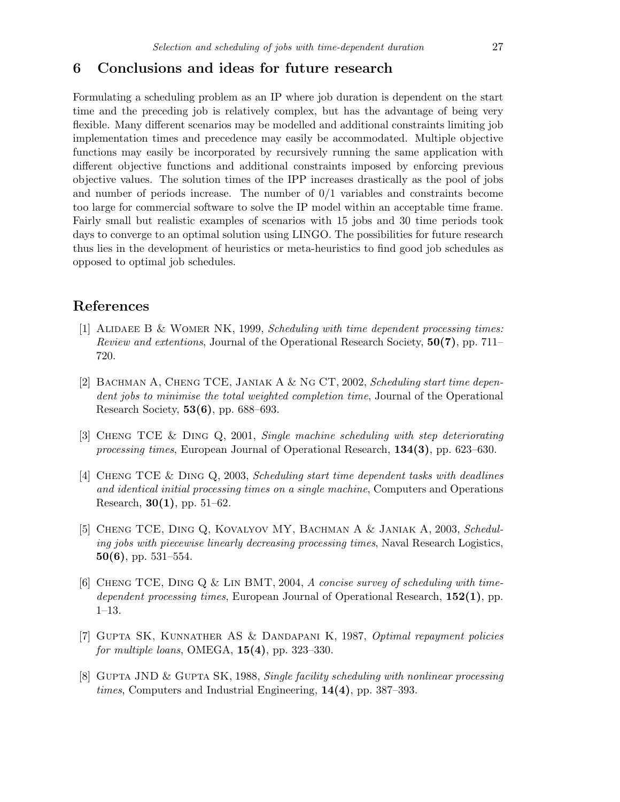## <span id="page-10-3"></span>6 Conclusions and ideas for future research

Formulating a scheduling problem as an IP where job duration is dependent on the start time and the preceding job is relatively complex, but has the advantage of being very flexible. Many different scenarios may be modelled and additional constraints limiting job implementation times and precedence may easily be accommodated. Multiple objective functions may easily be incorporated by recursively running the same application with different objective functions and additional constraints imposed by enforcing previous objective values. The solution times of the IPP increases drastically as the pool of jobs and number of periods increase. The number of  $0/1$  variables and constraints become too large for commercial software to solve the IP model within an acceptable time frame. Fairly small but realistic examples of scenarios with 15 jobs and 30 time periods took days to converge to an optimal solution using LINGO. The possibilities for future research thus lies in the development of heuristics or meta-heuristics to find good job schedules as opposed to optimal job schedules.

# References

- <span id="page-10-1"></span><span id="page-10-0"></span>[1] ALIDAEE B & WOMER NK, 1999, Scheduling with time dependent processing times: Review and extentions, Journal of the Operational Research Society, 50(7), pp. 711– 720.
- <span id="page-10-4"></span>[2] BACHMAN A, CHENG TCE, JANIAK A & NG CT, 2002, Scheduling start time dependent jobs to minimise the total weighted completion time, Journal of the Operational Research Society, 53(6), pp. 688–693.
- <span id="page-10-9"></span>[3] Cheng TCE & Ding Q, 2001, Single machine scheduling with step deteriorating processing times, European Journal of Operational Research, 134(3), pp. 623–630.
- <span id="page-10-5"></span>[4] Cheng TCE & Ding Q, 2003, Scheduling start time dependent tasks with deadlines and identical initial processing times on a single machine, Computers and Operations Research,  $30(1)$ , pp. 51–62.
- <span id="page-10-8"></span>[5] Cheng TCE, Ding Q, Kovalyov MY, Bachman A & Janiak A, 2003, Scheduling jobs with piecewise linearly decreasing processing times, Naval Research Logistics,  $50(6)$ , pp.  $531-554$ .
- <span id="page-10-2"></span>[6] CHENG TCE, DING Q & LIN BMT, 2004, A concise survey of scheduling with timedependent processing times, European Journal of Operational Research,  $152(1)$ , pp. 1–13.
- <span id="page-10-6"></span>[7] Gupta SK, Kunnather AS & Dandapani K, 1987, Optimal repayment policies for multiple loans, OMEGA,  $15(4)$ , pp. 323-330.
- <span id="page-10-7"></span>[8] GUPTA JND & GUPTA SK, 1988, Single facility scheduling with nonlinear processing *times*, Computers and Industrial Engineering,  $14(4)$ , pp. 387–393.